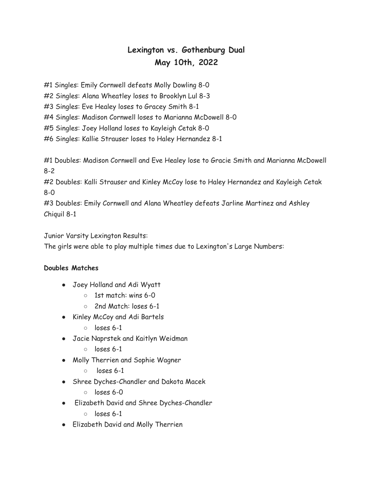## **Lexington vs. Gothenburg Dual May 10th, 2022**

#1 Singles: Emily Cornwell defeats Molly Dowling 8-0

#2 Singles: Alana Wheatley loses to Brooklyn Lul 8-3

#3 Singles: Eve Healey loses to Gracey Smith 8-1

#4 Singles: Madison Cornwell loses to Marianna McDowell 8-0

#5 Singles: Joey Holland loses to Kayleigh Cetak 8-0

#6 Singles: Kallie Strauser loses to Haley Hernandez 8-1

#1 Doubles: Madison Cornwell and Eve Healey lose to Gracie Smith and Marianna McDowell 8-2

#2 Doubles: Kalli Strauser and Kinley McCoy lose to Haley Hernandez and Kayleigh Cetak 8-0

#3 Doubles: Emily Cornwell and Alana Wheatley defeats Jarline Martinez and Ashley Chiquil 8-1

Junior Varsity Lexington Results:

The girls were able to play multiple times due to Lexington's Large Numbers:

## **Doubles Matches**

- Joey Holland and Adi Wyatt
	- 1st match: wins 6-0
	- 2nd Match: loses 6-1
- Kinley McCoy and Adi Bartels
	- loses 6-1
- Jacie Naprstek and Kaitlyn Weidman
	- loses 6-1
- Molly Therrien and Sophie Wagner
	- $\circ$  loses 6-1
- Shree Dyches-Chandler and Dakota Macek
	- loses 6-0
- Elizabeth David and Shree Dyches-Chandler
	- loses 6-1
- Elizabeth David and Molly Therrien